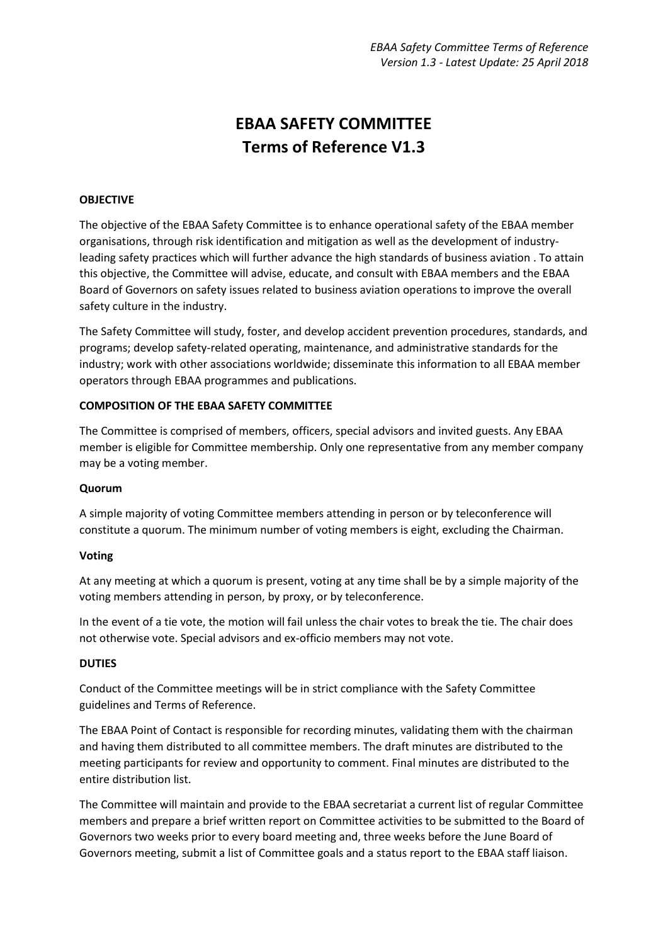# **EBAA SAFETY COMMITTEE Terms of Reference V1.3**

## **OBJECTIVE**

The objective of the EBAA Safety Committee is to enhance operational safety of the EBAA member organisations, through risk identification and mitigation as well as the development of industryleading safety practices which will further advance the high standards of business aviation . To attain this objective, the Committee will advise, educate, and consult with EBAA members and the EBAA Board of Governors on safety issues related to business aviation operations to improve the overall safety culture in the industry.

The Safety Committee will study, foster, and develop accident prevention procedures, standards, and programs; develop safety-related operating, maintenance, and administrative standards for the industry; work with other associations worldwide; disseminate this information to all EBAA member operators through EBAA programmes and publications.

## **COMPOSITION OF THE EBAA SAFETY COMMITTEE**

The Committee is comprised of members, officers, special advisors and invited guests. Any EBAA member is eligible for Committee membership. Only one representative from any member company may be a voting member.

## **Quorum**

A simple majority of voting Committee members attending in person or by teleconference will constitute a quorum. The minimum number of voting members is eight, excluding the Chairman.

## **Voting**

At any meeting at which a quorum is present, voting at any time shall be by a simple majority of the voting members attending in person, by proxy, or by teleconference.

In the event of a tie vote, the motion will fail unless the chair votes to break the tie. The chair does not otherwise vote. Special advisors and ex-officio members may not vote.

## **DUTIES**

Conduct of the Committee meetings will be in strict compliance with the Safety Committee guidelines and Terms of Reference.

The EBAA Point of Contact is responsible for recording minutes, validating them with the chairman and having them distributed to all committee members. The draft minutes are distributed to the meeting participants for review and opportunity to comment. Final minutes are distributed to the entire distribution list.

The Committee will maintain and provide to the EBAA secretariat a current list of regular Committee members and prepare a brief written report on Committee activities to be submitted to the Board of Governors two weeks prior to every board meeting and, three weeks before the June Board of Governors meeting, submit a list of Committee goals and a status report to the EBAA staff liaison.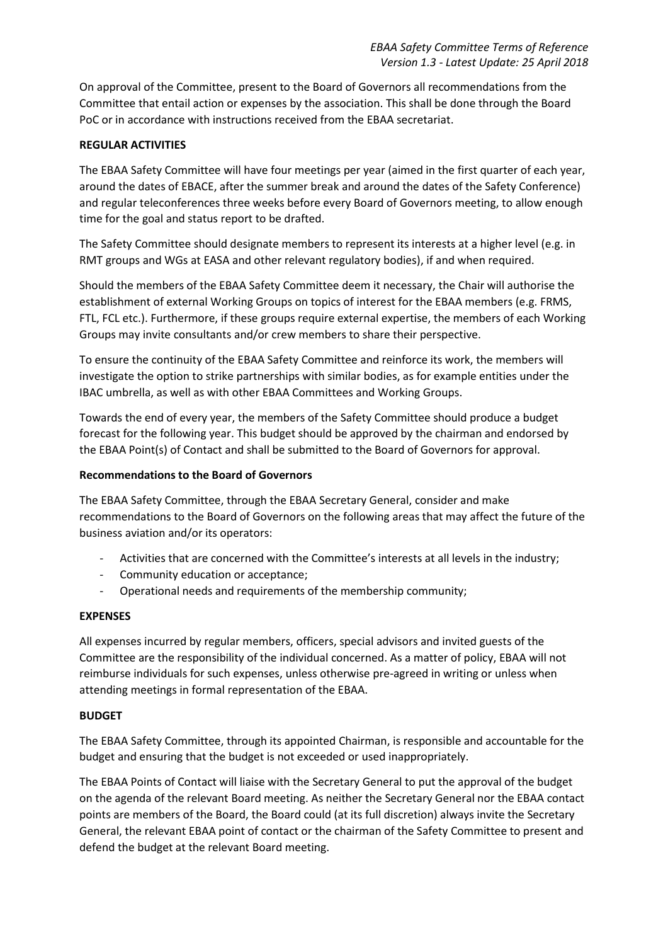On approval of the Committee, present to the Board of Governors all recommendations from the Committee that entail action or expenses by the association. This shall be done through the Board PoC or in accordance with instructions received from the EBAA secretariat.

# **REGULAR ACTIVITIES**

The EBAA Safety Committee will have four meetings per year (aimed in the first quarter of each year, around the dates of EBACE, after the summer break and around the dates of the Safety Conference) and regular teleconferences three weeks before every Board of Governors meeting, to allow enough time for the goal and status report to be drafted.

The Safety Committee should designate members to represent its interests at a higher level (e.g. in RMT groups and WGs at EASA and other relevant regulatory bodies), if and when required.

Should the members of the EBAA Safety Committee deem it necessary, the Chair will authorise the establishment of external Working Groups on topics of interest for the EBAA members (e.g. FRMS, FTL, FCL etc.). Furthermore, if these groups require external expertise, the members of each Working Groups may invite consultants and/or crew members to share their perspective.

To ensure the continuity of the EBAA Safety Committee and reinforce its work, the members will investigate the option to strike partnerships with similar bodies, as for example entities under the IBAC umbrella, as well as with other EBAA Committees and Working Groups.

Towards the end of every year, the members of the Safety Committee should produce a budget forecast for the following year. This budget should be approved by the chairman and endorsed by the EBAA Point(s) of Contact and shall be submitted to the Board of Governors for approval.

# **Recommendations to the Board of Governors**

The EBAA Safety Committee, through the EBAA Secretary General, consider and make recommendations to the Board of Governors on the following areas that may affect the future of the business aviation and/or its operators:

- Activities that are concerned with the Committee's interests at all levels in the industry;
- Community education or acceptance;
- Operational needs and requirements of the membership community;

# **EXPENSES**

All expenses incurred by regular members, officers, special advisors and invited guests of the Committee are the responsibility of the individual concerned. As a matter of policy, EBAA will not reimburse individuals for such expenses, unless otherwise pre-agreed in writing or unless when attending meetings in formal representation of the EBAA.

# **BUDGET**

The EBAA Safety Committee, through its appointed Chairman, is responsible and accountable for the budget and ensuring that the budget is not exceeded or used inappropriately.

The EBAA Points of Contact will liaise with the Secretary General to put the approval of the budget on the agenda of the relevant Board meeting. As neither the Secretary General nor the EBAA contact points are members of the Board, the Board could (at its full discretion) always invite the Secretary General, the relevant EBAA point of contact or the chairman of the Safety Committee to present and defend the budget at the relevant Board meeting.